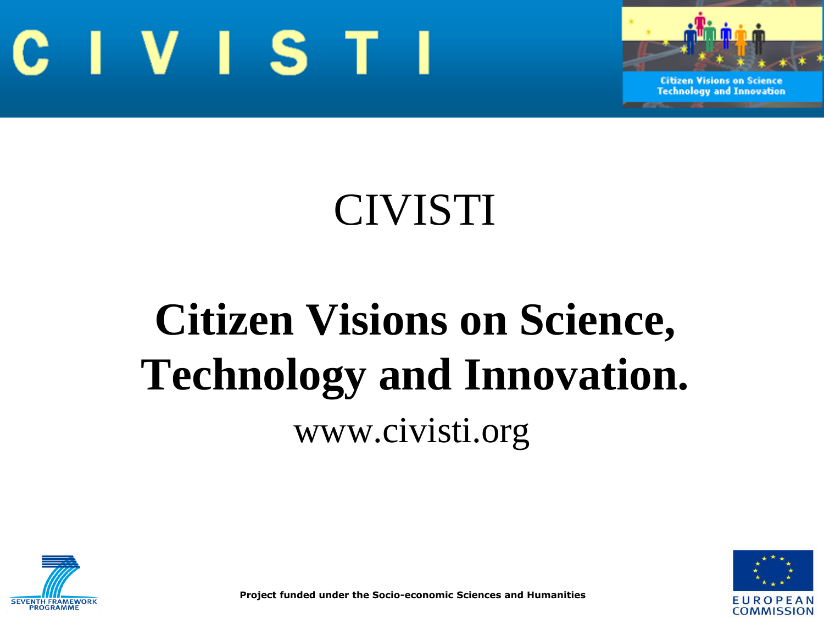



### CIVISTI

# **Citizen Visions on Science, Technology and Innovation.** www.civisti.org





**Project funded under the Socio-economic Sciences and Humanities**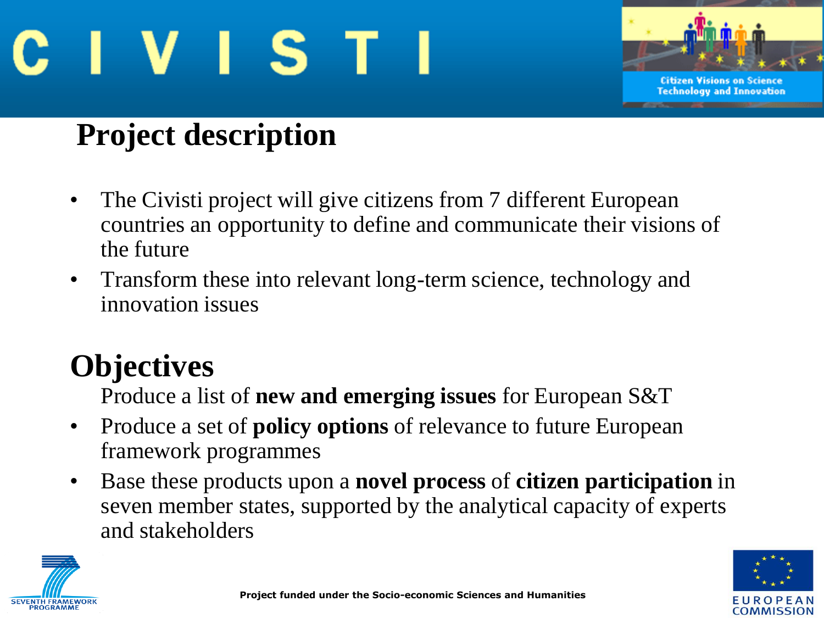



#### **Project description**

- The Civisti project will give citizens from 7 different European countries an opportunity to define and communicate their visions of the future
- Transform these into relevant long-term science, technology and innovation issues

#### **Objectives**

Produce a list of **new and emerging issues** for European S&T

- Produce a set of **policy options** of relevance to future European framework programmes
- Base these products upon a **novel process** of **citizen participation** in seven member states, supported by the analytical capacity of experts and stakeholders



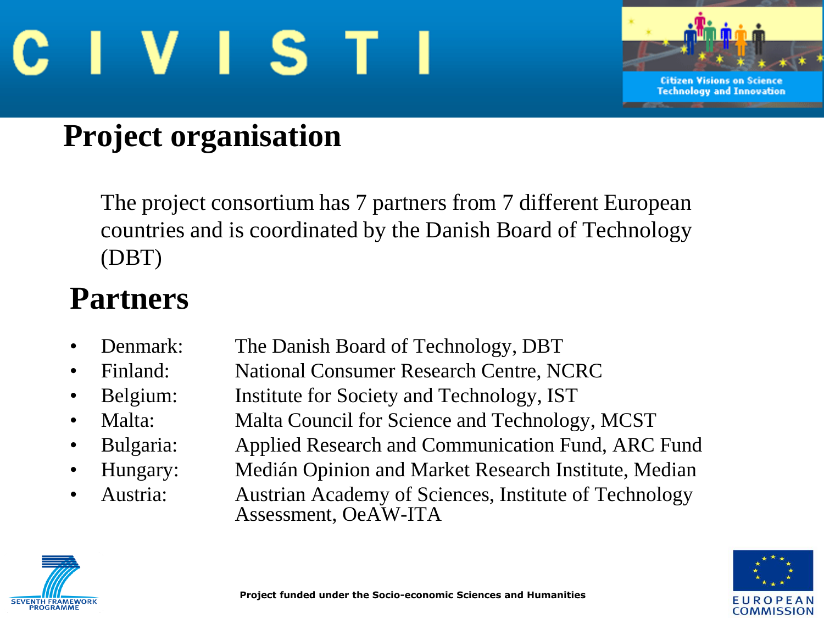



#### **Project organisation**

The project consortium has 7 partners from 7 different European countries and is coordinated by the Danish Board of Technology (DBT)

#### **Partners**

- Denmark: The Danish Board of Technology, DBT
- Finland: National Consumer Research Centre, NCRC
- Belgium: Institute for Society and Technology, IST
	- Malta: Malta Council for Science and Technology, MCST
	- Bulgaria: Applied Research and Communication Fund, ARC Fund
	- Hungary: Medián Opinion and Market Research Institute, Median
	- Austria: Austrian Academy of Sciences, Institute of Technology Assessment, OeAW-ITA



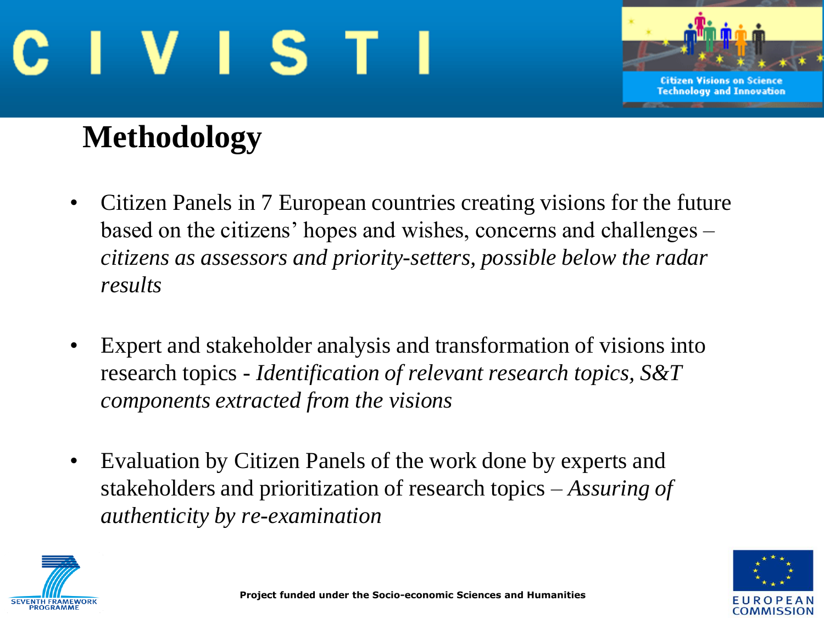



#### **Methodology**

- Citizen Panels in 7 European countries creating visions for the future based on the citizens' hopes and wishes, concerns and challenges – *citizens as assessors and priority-setters, possible below the radar results*
- Expert and stakeholder analysis and transformation of visions into research topics - *Identification of relevant research topics, S&T components extracted from the visions*
- Evaluation by Citizen Panels of the work done by experts and stakeholders and prioritization of research topics – *Assuring of authenticity by re-examination*



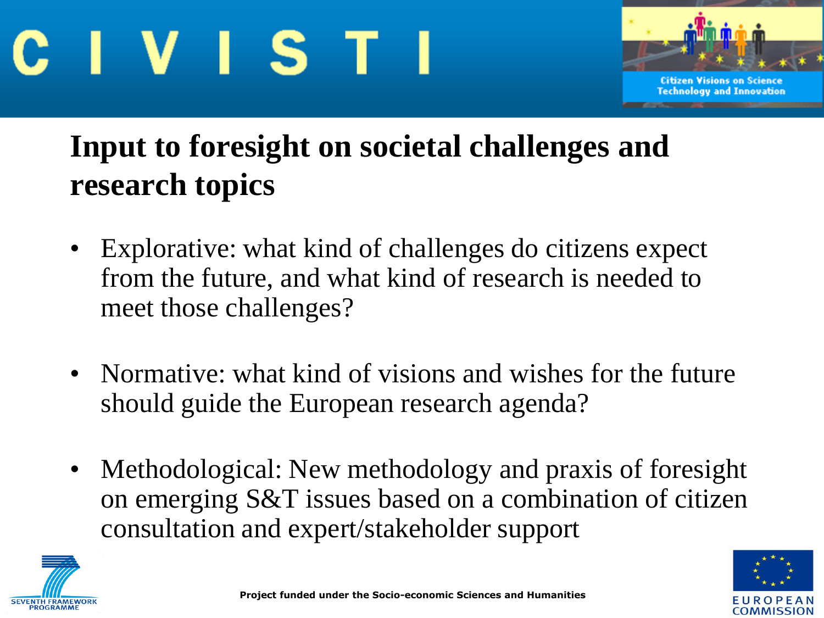



#### **Input to foresight on societal challenges and research topics**

- Explorative: what kind of challenges do citizens expect from the future, and what kind of research is needed to meet those challenges?
- Normative: what kind of visions and wishes for the future should guide the European research agenda?
- Methodological: New methodology and praxis of foresight on emerging S&T issues based on a combination of citizen consultation and expert/stakeholder support